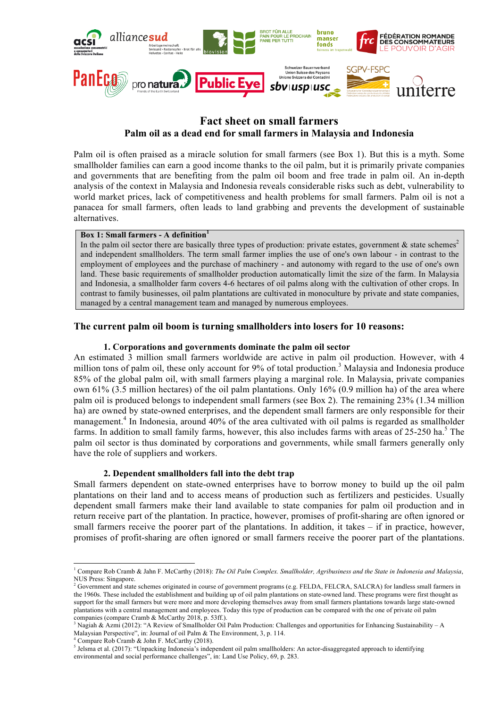

# **Fact sheet on small farmers Palm oil as a dead end for small farmers in Malaysia and Indonesia**

Palm oil is often praised as a miracle solution for small farmers (see Box 1). But this is a myth. Some smallholder families can earn a good income thanks to the oil palm, but it is primarily private companies and governments that are benefiting from the palm oil boom and free trade in palm oil. An in-depth analysis of the context in Malaysia and Indonesia reveals considerable risks such as debt, vulnerability to world market prices, lack of competitiveness and health problems for small farmers. Palm oil is not a panacea for small farmers, often leads to land grabbing and prevents the development of sustainable alternatives.

### **Box 1: Small farmers - A definition<sup>1</sup>**

In the palm oil sector there are basically three types of production: private estates, government  $\&$  state schemes<sup>2</sup> and independent smallholders. The term small farmer implies the use of one's own labour - in contrast to the employment of employees and the purchase of machinery - and autonomy with regard to the use of one's own land. These basic requirements of smallholder production automatically limit the size of the farm. In Malaysia and Indonesia, a smallholder farm covers 4-6 hectares of oil palms along with the cultivation of other crops. In contrast to family businesses, oil palm plantations are cultivated in monoculture by private and state companies, managed by a central management team and managed by numerous employees.

# **The current palm oil boom is turning smallholders into losers for 10 reasons:**

# **1. Corporations and governments dominate the palm oil sector**

An estimated 3 million small farmers worldwide are active in palm oil production. However, with 4 million tons of palm oil, these only account for 9% of total production.<sup>3</sup> Malaysia and Indonesia produce 85% of the global palm oil, with small farmers playing a marginal role. In Malaysia, private companies own 61% (3.5 million hectares) of the oil palm plantations. Only 16% (0.9 million ha) of the area where palm oil is produced belongs to independent small farmers (see Box 2). The remaining 23% (1.34 million ha) are owned by state-owned enterprises, and the dependent small farmers are only responsible for their management.<sup>4</sup> In Indonesia, around 40% of the area cultivated with oil palms is regarded as smallholder farms. In addition to small family farms, however, this also includes farms with areas of  $25$ -250 ha.<sup>5</sup> The palm oil sector is thus dominated by corporations and governments, while small farmers generally only have the role of suppliers and workers.

# **2. Dependent smallholders fall into the debt trap**

Small farmers dependent on state-owned enterprises have to borrow money to build up the oil palm plantations on their land and to access means of production such as fertilizers and pesticides. Usually dependent small farmers make their land available to state companies for palm oil production and in return receive part of the plantation. In practice, however, promises of profit-sharing are often ignored or small farmers receive the poorer part of the plantations. In addition, it takes – if in practice, however, promises of profit-sharing are often ignored or small farmers receive the poorer part of the plantations.

l

<sup>1</sup> Compare Rob Cramb & Jahn F. McCarthy (2018): *The Oil Palm Complex. Smallholder, Agribusiness and the State in Indonesia and Malaysia*, NUS Press: Singapore.

<sup>&</sup>lt;sup>2</sup> Government and state schemes originated in course of government programs (e.g. FELDA, FELCRA, SALCRA) for landless small farmers in the 1960s. These included the establishment and building up of oil palm plantations on state-owned land. These programs were first thought as support for the small farmers but were more and more developing themselves away from small farmers plantations towards large state-owned plantations with a central management and employees. Today this type of production can be compared with the one of private oil palm companies (compare Cramb & McCarthy 2018, p. 53ff.).

<sup>&</sup>lt;sup>3</sup> Nagiah & Azmi (2012): "A Review of Smallholder Oil Palm Production: Challenges and opportunities for Enhancing Sustainability – A Malaysian Perspective", in: Journal of oil Palm & The Environment, 3, p. 114.

<sup>4</sup> Compare Rob Cramb & John F. McCarthy (2018).

<sup>&</sup>lt;sup>5</sup> Jelsma et al. (2017): "Unpacking Indonesia's independent oil palm smallholders: An actor-disaggregated approach to identifying environmental and social performance challenges", in: Land Use Policy, 69, p. 283.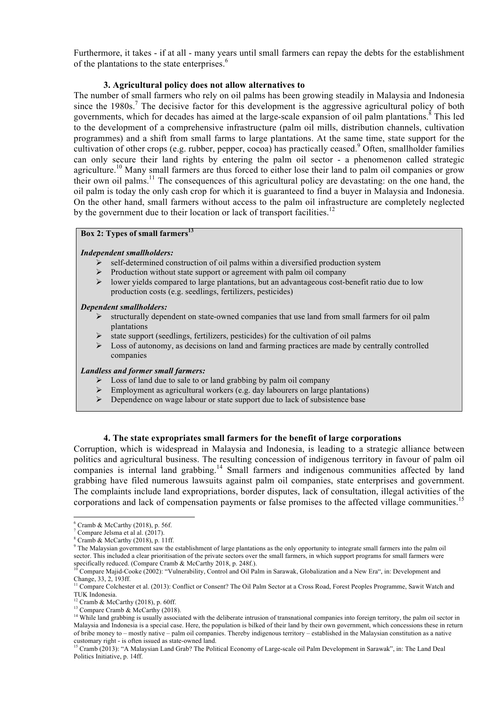Furthermore, it takes - if at all - many years until small farmers can repay the debts for the establishment of the plantations to the state enterprises. $<sup>6</sup>$ </sup>

# **3. Agricultural policy does not allow alternatives to**

The number of small farmers who rely on oil palms has been growing steadily in Malaysia and Indonesia since the  $1980s$ .<sup>7</sup> The decisive factor for this development is the aggressive agricultural policy of both governments, which for decades has aimed at the large-scale expansion of oil palm plantations.<sup>8</sup> This led to the development of a comprehensive infrastructure (palm oil mills, distribution channels, cultivation programmes) and a shift from small farms to large plantations. At the same time, state support for the cultivation of other crops (e.g. rubber, pepper, cocoa) has practically ceased.<sup>9</sup> Often, smallholder families can only secure their land rights by entering the palm oil sector - a phenomenon called strategic agriculture.<sup>10</sup> Many small farmers are thus forced to either lose their land to palm oil companies or grow their own oil palms.11 The consequences of this agricultural policy are devastating: on the one hand, the oil palm is today the only cash crop for which it is guaranteed to find a buyer in Malaysia and Indonesia. On the other hand, small farmers without access to the palm oil infrastructure are completely neglected by the government due to their location or lack of transport facilities.<sup>12</sup>

# **Box 2: Types of small farmers**<sup>13</sup>

### *Independent smallholders:*

- $\triangleright$  self-determined construction of oil palms within a diversified production system
- $\triangleright$  Production without state support or agreement with palm oil company
- $\triangleright$  lower yields compared to large plantations, but an advantageous cost-benefit ratio due to low production costs (e.g. seedlings, fertilizers, pesticides)

#### *Dependent smallholders:*

- $\triangleright$  structurally dependent on state-owned companies that use land from small farmers for oil palm plantations
- $\triangleright$  state support (seedlings, fertilizers, pesticides) for the cultivation of oil palms
- $\triangleright$  Loss of autonomy, as decisions on land and farming practices are made by centrally controlled companies

#### *Landless and former small farmers:*

- $\triangleright$  Loss of land due to sale to or land grabbing by palm oil company
- $\triangleright$  Employment as agricultural workers (e.g. day labourers on large plantations)
- $\triangleright$  Dependence on wage labour or state support due to lack of subsistence base

# **4. The state expropriates small farmers for the benefit of large corporations**

Corruption, which is widespread in Malaysia and Indonesia, is leading to a strategic alliance between politics and agricultural business. The resulting concession of indigenous territory in favour of palm oil companies is internal land grabbing.<sup>14</sup> Small farmers and indigenous communities affected by land grabbing have filed numerous lawsuits against palm oil companies, state enterprises and government. The complaints include land expropriations, border disputes, lack of consultation, illegal activities of the corporations and lack of compensation payments or false promises to the affected village communities.<sup>15</sup>

l

 $6$  Cramb & McCarthy (2018), p. 56f.

 $\sqrt{7}$  Compare Jelsma et al al. (2017).

 $\frac{8}{3}$  Cramb & McCarthy (2018), p. 11ff.

<sup>&</sup>lt;sup>9</sup> The Malaysian government saw the establishment of large plantations as the only opportunity to integrate small farmers into the palm oil sector. This included a clear prioritisation of the private sectors over the small farmers, in which support programs for small farmers were specifically reduced. (Compare Cramb & McCarthy 2018, p. 248f.).<br>specifically reduced. (Compare Cramb & McCarthy 2018, p. 248f.).

<sup>10</sup> Compare Majid-Cooke (2002): "Vulnerability, Control and Oil Palm in Sarawak, Globalization and a New Era", in: Development and Change, 33, 2, 193ff.

<sup>&</sup>lt;sup>11</sup> Compare Colchester et al. (2013): Conflict or Consent? The Oil Palm Sector at a Cross Road, Forest Peoples Programme, Sawit Watch and TUK Indonesia.

 $12$  Cramb & McCarthy (2018), p. 60ff.

<sup>&</sup>lt;sup>13</sup> Compare Cramb & McCarthy (2018).

<sup>&</sup>lt;sup>14</sup> While land grabbing is usually associated with the deliberate intrusion of transnational companies into foreign territory, the palm oil sector in Malaysia and Indonesia is a special case. Here, the population is bilked of their land by their own government, which concessions these in return of bribe money to – mostly native – palm oil companies. Thereby indigenous territory – established in the Malaysian constitution as a native

<sup>&</sup>lt;sup>15</sup> Cramb (2013): "A Malaysian Land Grab? The Political Economy of Large-scale oil Palm Development in Sarawak", in: The Land Deal Politics Initiative, p. 14ff.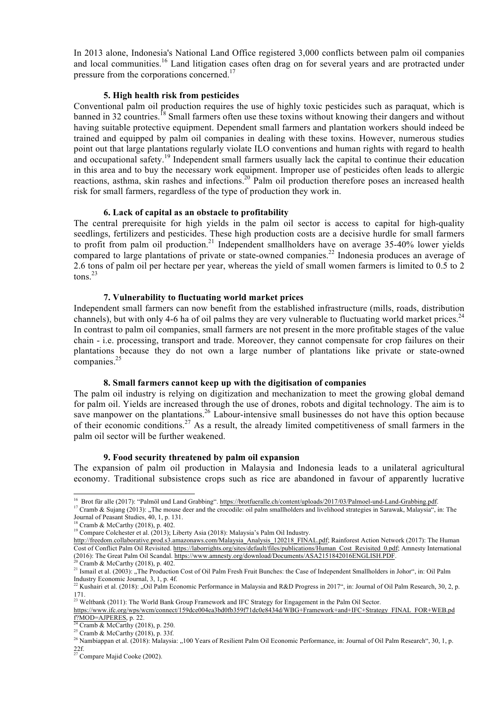In 2013 alone, Indonesia's National Land Office registered 3,000 conflicts between palm oil companies and local communities.<sup>16</sup> Land litigation cases often drag on for several years and are protracted under pressure from the corporations concerned.<sup>17</sup>

### **5. High health risk from pesticides**

Conventional palm oil production requires the use of highly toxic pesticides such as paraquat, which is banned in 32 countries.<sup>18</sup> Small farmers often use these toxins without knowing their dangers and without having suitable protective equipment. Dependent small farmers and plantation workers should indeed be trained and equipped by palm oil companies in dealing with these toxins. However, numerous studies point out that large plantations regularly violate ILO conventions and human rights with regard to health and occupational safety.<sup>19</sup> Independent small farmers usually lack the capital to continue their education in this area and to buy the necessary work equipment. Improper use of pesticides often leads to allergic reactions, asthma, skin rashes and infections.<sup>20</sup> Palm oil production therefore poses an increased health risk for small farmers, regardless of the type of production they work in.

### **6. Lack of capital as an obstacle to profitability**

The central prerequisite for high yields in the palm oil sector is access to capital for high-quality seedlings, fertilizers and pesticides. These high production costs are a decisive hurdle for small farmers to profit from palm oil production.<sup>21</sup> Independent smallholders have on average 35-40% lower yields compared to large plantations of private or state-owned companies.<sup>22</sup> Indonesia produces an average of 2.6 tons of palm oil per hectare per year, whereas the yield of small women farmers is limited to 0.5 to 2 tons.<sup>23</sup>

#### **7. Vulnerability to fluctuating world market prices**

Independent small farmers can now benefit from the established infrastructure (mills, roads, distribution channels), but with only 4-6 ha of oil palms they are very vulnerable to fluctuating world market prices.<sup>24</sup> In contrast to palm oil companies, small farmers are not present in the more profitable stages of the value chain - i.e. processing, transport and trade. Moreover, they cannot compensate for crop failures on their plantations because they do not own a large number of plantations like private or state-owned companies.<sup>25</sup>

# **8. Small farmers cannot keep up with the digitisation of companies**

The palm oil industry is relying on digitization and mechanization to meet the growing global demand for palm oil. Yields are increased through the use of drones, robots and digital technology. The aim is to save manpower on the plantations.<sup>26</sup> Labour-intensive small businesses do not have this option because of their economic conditions.<sup>27</sup> As a result, the already limited competitiveness of small farmers in the palm oil sector will be further weakened.

#### **9. Food security threatened by palm oil expansion**

The expansion of palm oil production in Malaysia and Indonesia leads to a unilateral agricultural economy. Traditional subsistence crops such as rice are abandoned in favour of apparently lucrative

l <sup>16</sup> Brot für alle (2017): "Palmöl und Land Grabbing". https://brotfueralle.ch/content/uploads/2017/03/Palmoel-und-Land-Grabbing.pdf.

<sup>&</sup>lt;sup>17</sup> Cramb & Sujang (2013): "The mouse deer and the crocodile: oil palm smallholders and livelihood strategies in Sarawak, Malaysia", in: The Journal of Peasant Studies, 40, 1, p. 131.

 $18$  Cramb & McCarthy (2018), p. 402.

<sup>&</sup>lt;sup>19</sup> Compare Colchester et al. (2013); Liberty Asia (2018): Malaysia's Palm Oil Industry.

http://freedom.collaborative.prod.s3.amazonaws.com/Malaysia\_Analysis\_120218\_FINAL.pdf; Rainforest Action Network (2017): The Human Cost of Conflict Palm Oil Revisited. https://laborrights.org/sites/default/files/publications/Human\_Cost\_Revisited\_0.pdf; Amnesty International (2016): The Great Palm Oil Scandal. https://www.amnesty.org/download/Documents/ASA2151842016ENGLISH.PDF.

 $2^{20}$  Cramb & McCarthy (2018), p. 402.

<sup>&</sup>lt;sup>21</sup> Ismail et al. (2003): "The Production Cost of Oil Palm Fresh Fruit Bunches: the Case of Independent Smallholders in Johor", in: Oil Palm Industry Economic Journal, 3, 1, p. 4f.

<sup>&</sup>lt;sup>22</sup> Kushairi et al. (2018): "Oil Palm Economic Performance in Malaysia and R&D Progress in 2017", in: Journal of Oil Palm Research, 30, 2, p. 171.

 $^{23}$  Weltbank (2011): The World Bank Group Framework and IFC Strategy for Engagement in the Palm Oil Sector.

https://www.ifc.org/wps/wcm/connect/159dce004ea3bd0fb359f71dc0e8434d/WBG+Framework+and+IFC+Strategy\_FINAL\_FOR+WEB.pd  $\frac{1}{24}$  Cross 1.0.1.2.1.1.2.1.2.1.2.2.

 $4$  Cramb & McCarthy (2018), p. 250.

 $2<sup>25</sup>$  Cramb & McCarthy (2018), p. 33f.

<sup>&</sup>lt;sup>26</sup> Nambiappan et al. (2018): Malaysia: "100 Years of Resilient Palm Oil Economic Performance, in: Journal of Oil Palm Research", 30, 1, p. 22f. 22f.<br> $27$  Compare Majid Cooke (2002).